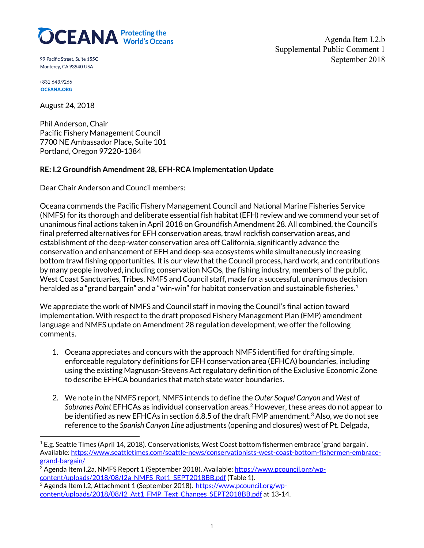

99 Pacific Street. Suite 155C Monterey, CA 93940 USA

Agenda Item I.2.b Supplemental Public Comment 1 September 2018

+831.643.9266 **OCEANA.ORG** 

August 24, 2018

Phil Anderson, Chair Pacific Fishery Management Council 7700 NE Ambassador Place, Suite 101 Portland, Oregon 97220-1384

## **RE: I.2 Groundfish Amendment 28, EFH-RCA Implementation Update**

Dear Chair Anderson and Council members:

Oceana commends the Pacific Fishery Management Council and National Marine Fisheries Service (NMFS) for its thorough and deliberate essential fish habitat (EFH) review and we commend your set of unanimous final actions taken in April 2018 on Groundfish Amendment 28. All combined, the Council's final preferred alternatives for EFH conservation areas, trawl rockfish conservation areas, and establishment of the deep-water conservation area off California, significantly advance the conservation and enhancement of EFH and deep-sea ecosystems while simultaneously increasing bottom trawl fishing opportunities. It is our view that the Council process, hard work, and contributions by many people involved, including conservation NGOs, the fishing industry, members of the public, West Coast Sanctuaries, Tribes, NMFS and Council staff, made for a successful, unanimous decision heralded as a "grand bargain" and a "win-win" for habitat conservation and sustainable fisheries.<sup>1</sup>

We appreciate the work of NMFS and Council staff in moving the Council's final action toward implementation. With respect to the draft proposed Fishery Management Plan (FMP) amendment language and NMFS update on Amendment 28 regulation development, we offer the following comments.

- 1. Oceana appreciates and concurs with the approach NMFS identified for drafting simple, enforceable regulatory definitions for EFH conservation area (EFHCA) boundaries, including using the existing Magnuson-Stevens Act regulatory definition of the Exclusive Economic Zone to describe EFHCA boundaries that match state water boundaries.
- 2. We note in the NMFS report, NMFS intends to define the *Outer Soquel Canyon* and *West of Sobranes Point* EFHCAs as individual conservation areas.[2](#page-0-1) However, these areas do not appear to be identified as new EFHCAs in section 6.8.5 of the draft FMP amendment.<sup>3</sup> Also, we do not see reference to the *Spanish Canyon Line* adjustments (opening and closures) west of Pt. Delgada,

<span id="page-0-0"></span><sup>1</sup> E.g. Seattle Times (April 14, 2018). Conservationists, West Coast bottom fishermen embrace 'grand bargain'. Available[: https://www.seattletimes.com/seattle-news/conservationists-west-coast-bottom-fishermen-embrace](https://www.seattletimes.com/seattle-news/conservationists-west-coast-bottom-fishermen-embrace-grand-bargain/)grand-bargain/<br><sup>2</sup> Agenda Item I.2a, NMFS Report 1 (September 2018). Available: <u>https://www.pcouncil.org/wp-</u>

<span id="page-0-1"></span>[content/uploads/2018/08/I2a\\_NMFS\\_Rpt1\\_SEPT2018BB.pdf](https://www.pcouncil.org/wp-content/uploads/2018/08/I2a_NMFS_Rpt1_SEPT2018BB.pdf) (Table 1).

<span id="page-0-2"></span><sup>&</sup>lt;sup>3</sup> Agenda Item I.2, Attachment 1 (September 2018). [https://www.pcouncil.org/wp](https://www.pcouncil.org/wp-content/uploads/2018/08/I2_Att1_FMP_Text_Changes_SEPT2018BB.pdf)[content/uploads/2018/08/I2\\_Att1\\_FMP\\_Text\\_Changes\\_SEPT2018BB.pdf](https://www.pcouncil.org/wp-content/uploads/2018/08/I2_Att1_FMP_Text_Changes_SEPT2018BB.pdf) at 13-14.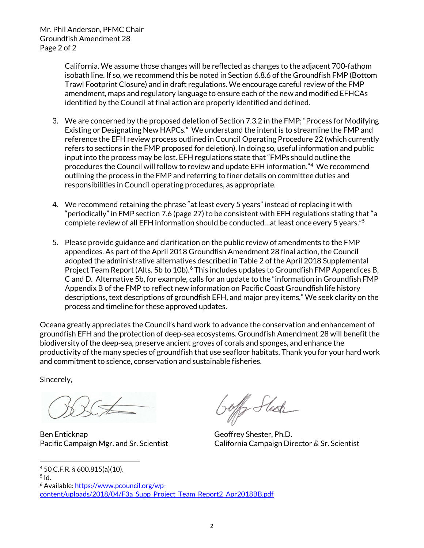California. We assume those changes will be reflected as changes to the adjacent 700-fathom isobath line. If so, we recommend this be noted in Section 6.8.6 of the Groundfish FMP (Bottom Trawl Footprint Closure) and in draft regulations. We encourage careful review of the FMP amendment, maps and regulatory language to ensure each of the new and modified EFHCAs identified by the Council at final action are properly identified and defined.

- 3. We are concerned by the proposed deletion of Section 7.3.2 in the FMP; "Process for Modifying Existing or Designating New HAPCs." We understand the intent is to streamline the FMP and reference the EFH review process outlined in Council Operating Procedure 22 (which currently refers to sections in the FMP proposed for deletion). In doing so, useful information and public input into the process may be lost. EFH regulations state that "FMPs should outline the procedures the Council will follow to review and update EFH information."<sup>4</sup> We recommend outlining the process in the FMP and referring to finer details on committee duties and responsibilities in Council operating procedures, as appropriate.
- 4. We recommend retaining the phrase "at least every 5 years" instead of replacing it with "periodically" in FMP section 7.6 (page 27) to be consistent with EFH regulations stating that "a complete review of all EFH information should be conducted…at least once every 5 years."[5](#page-1-1)
- 5. Please provide guidance and clarification on the public review of amendments to the FMP appendices. As part of the April 2018 Groundfish Amendment 28 final action, the Council adopted the administrative alternatives described in Table 2 of the April 2018 Supplemental Project Team Report (Alts. 5b to 10b).<sup>[6](#page-1-2)</sup> This includes updates to Groundfish FMP Appendices B, C and D. Alternative 5b, for example, calls for an update to the "information in Groundfish FMP Appendix B of the FMP to reflect new information on Pacific Coast Groundfish life history descriptions, text descriptions of groundfish EFH, and major prey items." We seek clarity on the process and timeline for these approved updates.

Oceana greatly appreciates the Council's hard work to advance the conservation and enhancement of groundfish EFH and the protection of deep-sea ecosystems. Groundfish Amendment 28 will benefit the biodiversity of the deep-sea, preserve ancient groves of corals and sponges, and enhance the productivity of the many species of groundfish that use seafloor habitats. Thank you for your hard work and commitment to science, conservation and sustainable fisheries.

Sincerely,

Ben Enticknap Geoffrey Shester, Ph.D.

<span id="page-1-2"></span><sup>6</sup> Available[: https://www.pcouncil.org/wp](https://www.pcouncil.org/wp-content/uploads/2018/04/F3a_Supp_Project_Team_Report2_Apr2018BB.pdf)content/uploads/2018/04/F3a Supp\_Project\_Team\_Report2\_Apr2018BB.pdf

offy Stesh

Pacific Campaign Mgr. and Sr. Scientist California Campaign Director & Sr. Scientist

<span id="page-1-0"></span><sup>4</sup> 50 C.F.R. § 600.815(a)(10).

<span id="page-1-1"></span> $5$  Id.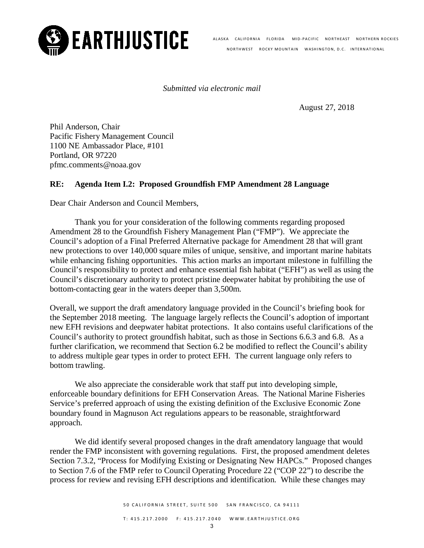

**EARTHJUSTICE** ALASKA CALIFORNIA FLORIDA MID-PACIFIC NORTHEAST NORTHERN ROCKIES NORTHWEST ROCKY MOUNTAIN WASHINGTON, D.C. INTERNATIONAL

*Submitted via electronic mail*

August 27, 2018

Phil Anderson, Chair Pacific Fishery Management Council 1100 NE Ambassador Place, #101 Portland, OR 97220 pfmc.comments@noaa.gov

## **RE: Agenda Item I.2: Proposed Groundfish FMP Amendment 28 Language**

Dear Chair Anderson and Council Members,

Thank you for your consideration of the following comments regarding proposed Amendment 28 to the Groundfish Fishery Management Plan ("FMP"). We appreciate the Council's adoption of a Final Preferred Alternative package for Amendment 28 that will grant new protections to over 140,000 square miles of unique, sensitive, and important marine habitats while enhancing fishing opportunities. This action marks an important milestone in fulfilling the Council's responsibility to protect and enhance essential fish habitat ("EFH") as well as using the Council's discretionary authority to protect pristine deepwater habitat by prohibiting the use of bottom-contacting gear in the waters deeper than 3,500m.

Overall, we support the draft amendatory language provided in the Council's briefing book for the September 2018 meeting. The language largely reflects the Council's adoption of important new EFH revisions and deepwater habitat protections. It also contains useful clarifications of the Council's authority to protect groundfish habitat, such as those in Sections 6.6.3 and 6.8. As a further clarification, we recommend that Section 6.2 be modified to reflect the Council's ability to address multiple gear types in order to protect EFH. The current language only refers to bottom trawling.

We also appreciate the considerable work that staff put into developing simple, enforceable boundary definitions for EFH Conservation Areas. The National Marine Fisheries Service's preferred approach of using the existing definition of the Exclusive Economic Zone boundary found in Magnuson Act regulations appears to be reasonable, straightforward approach.

We did identify several proposed changes in the draft amendatory language that would render the FMP inconsistent with governing regulations. First, the proposed amendment deletes Section 7.3.2, "Process for Modifying Existing or Designating New HAPCs." Proposed changes to Section 7.6 of the FMP refer to Council Operating Procedure 22 ("COP 22") to describe the process for review and revising EFH descriptions and identification. While these changes may